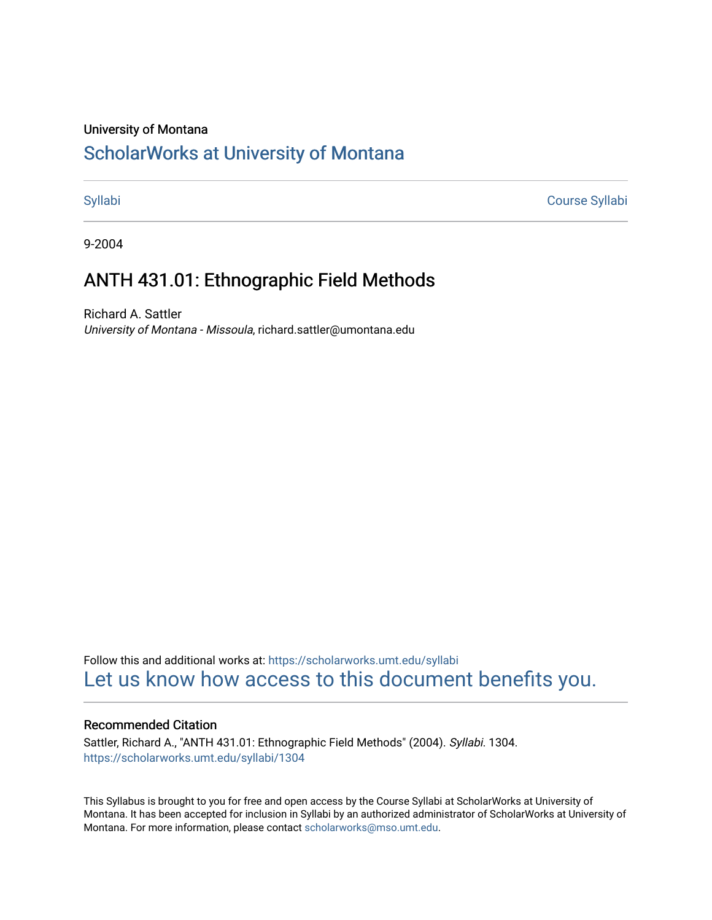## University of Montana

# [ScholarWorks at University of Montana](https://scholarworks.umt.edu/)

[Syllabi](https://scholarworks.umt.edu/syllabi) [Course Syllabi](https://scholarworks.umt.edu/course_syllabi) 

9-2004

# ANTH 431.01: Ethnographic Field Methods

Richard A. Sattler University of Montana - Missoula, richard.sattler@umontana.edu

Follow this and additional works at: [https://scholarworks.umt.edu/syllabi](https://scholarworks.umt.edu/syllabi?utm_source=scholarworks.umt.edu%2Fsyllabi%2F1304&utm_medium=PDF&utm_campaign=PDFCoverPages)  [Let us know how access to this document benefits you.](https://goo.gl/forms/s2rGfXOLzz71qgsB2) 

## Recommended Citation

Sattler, Richard A., "ANTH 431.01: Ethnographic Field Methods" (2004). Syllabi. 1304. [https://scholarworks.umt.edu/syllabi/1304](https://scholarworks.umt.edu/syllabi/1304?utm_source=scholarworks.umt.edu%2Fsyllabi%2F1304&utm_medium=PDF&utm_campaign=PDFCoverPages)

This Syllabus is brought to you for free and open access by the Course Syllabi at ScholarWorks at University of Montana. It has been accepted for inclusion in Syllabi by an authorized administrator of ScholarWorks at University of Montana. For more information, please contact [scholarworks@mso.umt.edu.](mailto:scholarworks@mso.umt.edu)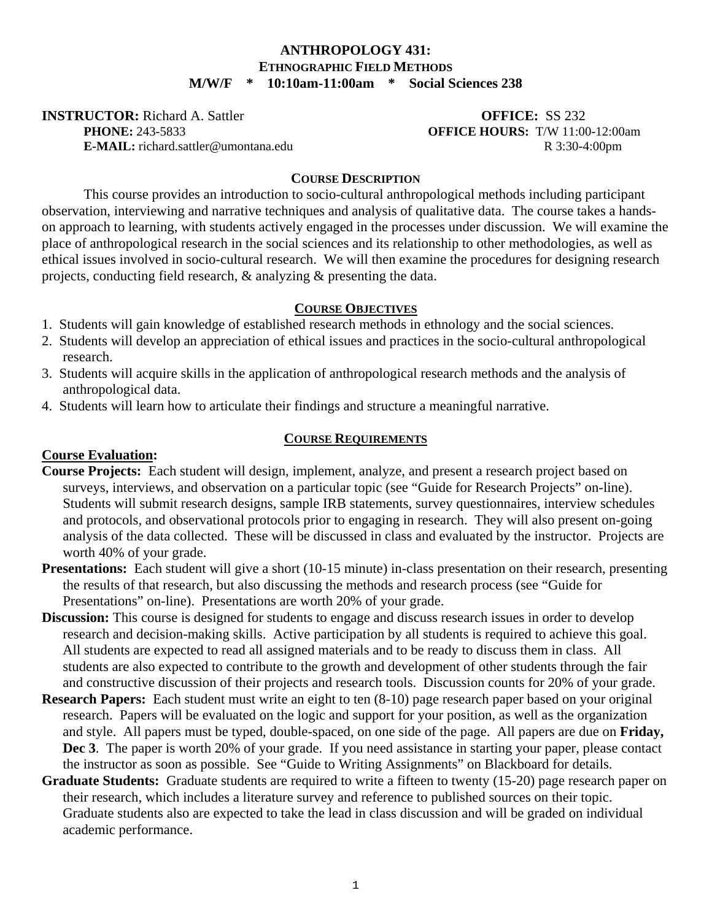# **ANTHROPOLOGY 431: ETHNOGRAPHIC FIELD METHODS M/W/F \* 10:10am-11:00am \* Social Sciences 238**

**INSTRUCTOR:** Richard A. Sattler **OFFICE:** SS 232

 **PHONE:** 243-5833 **OFFICE HOURS:** T/W 11:00-12:00am **E-MAIL:** richard.sattler@umontana.edu R 3:30-4:00pm

# **COURSE DESCRIPTION**

 This course provides an introduction to socio-cultural anthropological methods including participant observation, interviewing and narrative techniques and analysis of qualitative data. The course takes a handson approach to learning, with students actively engaged in the processes under discussion. We will examine the place of anthropological research in the social sciences and its relationship to other methodologies, as well as ethical issues involved in socio-cultural research. We will then examine the procedures for designing research projects, conducting field research, & analyzing & presenting the data.

# **COURSE OBJECTIVES**

- 1. Students will gain knowledge of established research methods in ethnology and the social sciences.
- 2. Students will develop an appreciation of ethical issues and practices in the socio-cultural anthropological research.
- 3. Students will acquire skills in the application of anthropological research methods and the analysis of anthropological data.
- 4. Students will learn how to articulate their findings and structure a meaningful narrative.

# **COURSE REQUIREMENTS**

# **Course Evaluation:**

- **Course Projects:** Each student will design, implement, analyze, and present a research project based on surveys, interviews, and observation on a particular topic (see "Guide for Research Projects" on-line). Students will submit research designs, sample IRB statements, survey questionnaires, interview schedules and protocols, and observational protocols prior to engaging in research. They will also present on-going analysis of the data collected. These will be discussed in class and evaluated by the instructor. Projects are worth 40% of your grade.
- **Presentations:** Each student will give a short (10-15 minute) in-class presentation on their research, presenting the results of that research, but also discussing the methods and research process (see "Guide for Presentations" on-line). Presentations are worth 20% of your grade.
- **Discussion:** This course is designed for students to engage and discuss research issues in order to develop research and decision-making skills. Active participation by all students is required to achieve this goal. All students are expected to read all assigned materials and to be ready to discuss them in class. All students are also expected to contribute to the growth and development of other students through the fair and constructive discussion of their projects and research tools. Discussion counts for 20% of your grade.
- **Research Papers:** Each student must write an eight to ten (8-10) page research paper based on your original research. Papers will be evaluated on the logic and support for your position, as well as the organization and style. All papers must be typed, double-spaced, on one side of the page. All papers are due on **Friday, Dec 3**. The paper is worth 20% of your grade. If you need assistance in starting your paper, please contact the instructor as soon as possible. See "Guide to Writing Assignments" on Blackboard for details.
- **Graduate Students:** Graduate students are required to write a fifteen to twenty (15-20) page research paper on their research, which includes a literature survey and reference to published sources on their topic. Graduate students also are expected to take the lead in class discussion and will be graded on individual academic performance.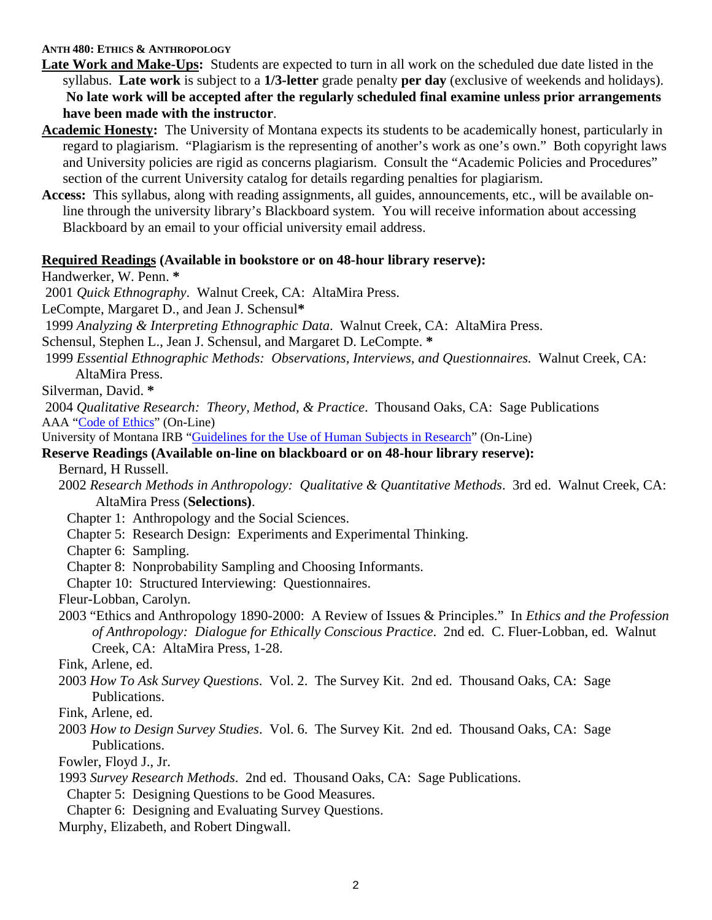## **ANTH 480: ETHICS & ANTHROPOLOGY**

**Late Work and Make-Ups:** Students are expected to turn in all work on the scheduled due date listed in the syllabus. **Late work** is subject to a **1/3-letter** grade penalty **per day** (exclusive of weekends and holidays). **No late work will be accepted after the regularly scheduled final examine unless prior arrangements have been made with the instructor**.

- **Academic Honesty:** The University of Montana expects its students to be academically honest, particularly in regard to plagiarism. "Plagiarism is the representing of another's work as one's own." Both copyright laws and University policies are rigid as concerns plagiarism. Consult the "Academic Policies and Procedures" section of the current University catalog for details regarding penalties for plagiarism.
- **Access:** This syllabus, along with reading assignments, all guides, announcements, etc., will be available online through the university library's Blackboard system. You will receive information about accessing Blackboard by an email to your official university email address.

#### **Required Readings (Available in bookstore or on 48-hour library reserve):**

Handwerker, W. Penn. **\***

2001 *Quick Ethnography*. Walnut Creek, CA: AltaMira Press.

LeCompte, Margaret D., and Jean J. Schensul**\***

1999 *Analyzing & Interpreting Ethnographic Data*. Walnut Creek, CA: AltaMira Press.

Schensul, Stephen L., Jean J. Schensul, and Margaret D. LeCompte. **\***

 1999 *Essential Ethnographic Methods: Observations, Interviews, and Questionnaires.* Walnut Creek, CA: AltaMira Press.

Silverman, David. **\***

 2004 *Qualitative Research: Theory, Method, & Practice*. Thousand Oaks, CA: Sage Publications AAA "Code of Ethics" (On-Line)

University of Montana IRB "Guidelines for the Use of Human Subjects in Research" (On-Line)

# **Reserve Readings (Available on-line on blackboard or on 48-hour library reserve):**

Bernard, H Russell.

- 2002 *Research Methods in Anthropology: Qualitative & Quantitative Methods*. 3rd ed. Walnut Creek, CA: AltaMira Press (**Selections)**.
	- Chapter 1: Anthropology and the Social Sciences.
	- Chapter 5: Research Design: Experiments and Experimental Thinking.

Chapter 6: Sampling.

Chapter 8: Nonprobability Sampling and Choosing Informants.

Chapter 10: Structured Interviewing: Questionnaires.

Fleur-Lobban, Carolyn.

2003 "Ethics and Anthropology 1890-2000: A Review of Issues & Principles." In *Ethics and the Profession of Anthropology: Dialogue for Ethically Conscious Practice*. 2nd ed. C. Fluer-Lobban, ed. Walnut Creek, CA: AltaMira Press, 1-28.

Fink, Arlene, ed.

2003 *How To Ask Survey Questions*. Vol. 2. The Survey Kit. 2nd ed. Thousand Oaks, CA: Sage Publications.

Fink, Arlene, ed.

2003 *How to Design Survey Studies*. Vol. 6. The Survey Kit. 2nd ed. Thousand Oaks, CA: Sage Publications.

Fowler, Floyd J., Jr.

1993 *Survey Research Methods*. 2nd ed. Thousand Oaks, CA: Sage Publications.

Chapter 5: Designing Questions to be Good Measures.

Chapter 6: Designing and Evaluating Survey Questions.

Murphy, Elizabeth, and Robert Dingwall.